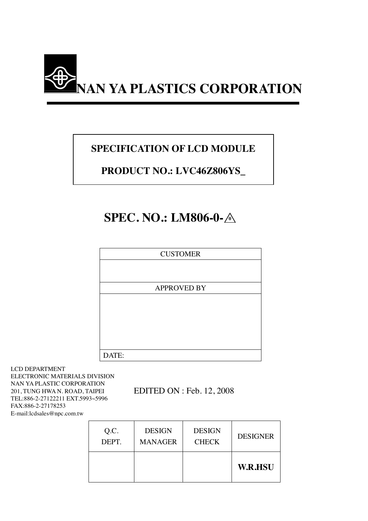

# **SPECIFICATION OF LCD MODULE**

# **PRODUCT NO.: LVC46Z806YS\_**

# **SPEC. NO.: LM806-0-** $\triangle$

| <b>CUSTOMER</b>    |
|--------------------|
|                    |
|                    |
| <b>APPROVED BY</b> |
|                    |
|                    |
|                    |
|                    |
|                    |
| DATE:              |

LCD DEPARTMENT ELECTRONIC MATERIALS DIVISION NAN YA PLASTIC CORPORATION 201, TUNG HWA N. ROAD, TAIPEI TEL:886-2-27122211 EXT.5993~5996 FAX:886-2-27178253 E-mail:lcdsales@npc.com.tw

EDITED ON : Feb. 12, 2008

| Q.C.  | <b>DESIGN</b>  | <b>DESIGN</b> | <b>DESIGNER</b> |
|-------|----------------|---------------|-----------------|
| DEPT. | <b>MANAGER</b> | <b>CHECK</b>  |                 |
|       |                |               | <b>W.R.HSU</b>  |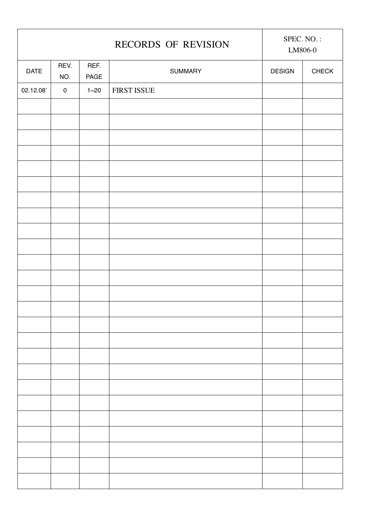| RECORDS OF REVISION |             |              | SPEC. NO.:<br>LM806-0 |               |              |
|---------------------|-------------|--------------|-----------------------|---------------|--------------|
| DATE                | REV.<br>NO. | REF.<br>PAGE | SUMMARY               | <b>DESIGN</b> | <b>CHECK</b> |
| 02.12.08'           | $\mathbf 0$ | $1 - 20$     | FIRST ISSUE           |               |              |
|                     |             |              |                       |               |              |
|                     |             |              |                       |               |              |
|                     |             |              |                       |               |              |
|                     |             |              |                       |               |              |
|                     |             |              |                       |               |              |
|                     |             |              |                       |               |              |
|                     |             |              |                       |               |              |
|                     |             |              |                       |               |              |
|                     |             |              |                       |               |              |
|                     |             |              |                       |               |              |
|                     |             |              |                       |               |              |
|                     |             |              |                       |               |              |
|                     |             |              |                       |               |              |
|                     |             |              |                       |               |              |
|                     |             |              |                       |               |              |
|                     |             |              |                       |               |              |
|                     |             |              |                       |               |              |
|                     |             |              |                       |               |              |
|                     |             |              |                       |               |              |
|                     |             |              |                       |               |              |
|                     |             |              |                       |               |              |
|                     |             |              |                       |               |              |
|                     |             |              |                       |               |              |
|                     |             |              |                       |               |              |
|                     |             |              |                       |               |              |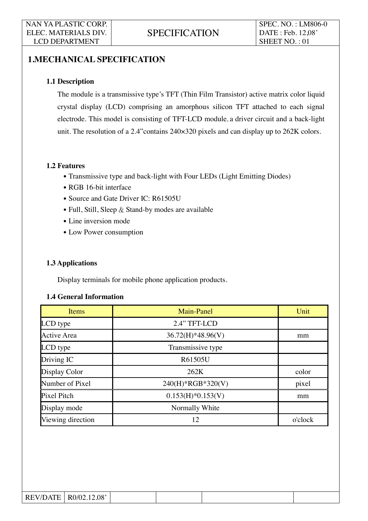# **1.MECHANICAL SPECIFICATION**

#### **1.1 Description**

The module is a transmissive type's TFT (Thin Film Transistor) active matrix color liquid crystal display (LCD) comprising an amorphous silicon TFT attached to each signal electrode. This model is consisting of TFT-LCD module, a driver circuit and a back-light unit. The resolution of a 2.4"contains 240×320 pixels and can display up to 262K colors.

#### **1.2 Features**

- Transmissive type and back-light with Four LEDs (Light Emitting Diodes)
- RGB 16-bit interface
- Source and Gate Driver IC: R61505U
- $\bullet$  Full, Still, Sleep & Stand-by modes are available
- Line inversion mode
- Low Power consumption

#### **1.3 Applications**

Display terminals for mobile phone application products.

| Items              | Main-Panel          | Unit    |
|--------------------|---------------------|---------|
| LCD type           | 2.4" TFT-LCD        |         |
| <b>Active Area</b> | $36.72(H)*48.96(V)$ | mm      |
| LCD type           | Transmissive type   |         |
| Driving IC         | R61505U             |         |
| Display Color      | 262K                | color   |
| Number of Pixel    | 240(H)*RGB*320(V)   | pixel   |
| Pixel Pitch        | $0.153(H)*0.153(V)$ | mm      |
| Display mode       | Normally White      |         |
| Viewing direction  | 12                  | o'clock |

#### **1.4 General Information**

| <b>REV/DATE</b> | R0/02.12.08' |  |  |
|-----------------|--------------|--|--|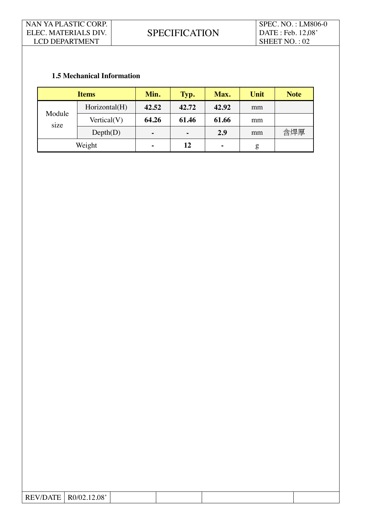### **1.5 Mechanical Information**

| <b>Items</b>   |               | Min.           | Typ.           | Max.  | Unit | <b>Note</b> |
|----------------|---------------|----------------|----------------|-------|------|-------------|
| Module<br>size | Horizontal(H) | 42.52          | 42.72          | 42.92 | mm   |             |
|                | Vertical(V)   | 64.26          | 61.46          | 61.66 | mm   |             |
|                | Depth(D)      | $\blacksquare$ | $\blacksquare$ | 2.9   | mm   | 含焊厚         |
| Weight         |               | $\blacksquare$ | 12             | ٠     | g    |             |

| 08'<br>$\Delta$<br>$^{\prime}$ |                       |  |  |  |
|--------------------------------|-----------------------|--|--|--|
|                                | $R$ $F$<br><b>IVT</b> |  |  |  |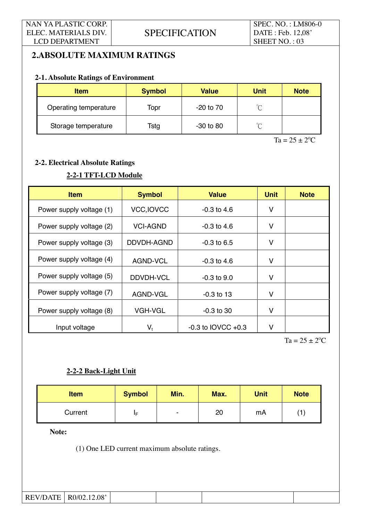# **2.ABSOLUTE MAXIMUM RATINGS**

#### **2-1. Absolute Ratings of Environment**

| <b>Item</b>           | <b>Symbol</b> | <b>Value</b>  | <b>Unit</b> | <b>Note</b> |
|-----------------------|---------------|---------------|-------------|-------------|
| Operating temperature | Topr          | $-20$ to $70$ | $\sim$      |             |
| Storage temperature   | Tstg          | $-30$ to 80   | $\sim$      |             |

 $Ta = 25 \pm 2^{\circ}C$ 

### **2-2. Electrical Absolute Ratings**

# **2-2-1 TFT-LCD Module**

| <b>Item</b>              | <b>Symbol</b>     | <b>Value</b>           | <b>Unit</b> | <b>Note</b> |
|--------------------------|-------------------|------------------------|-------------|-------------|
| Power supply voltage (1) | <b>VCC, IOVCC</b> | $-0.3$ to 4.6          | V           |             |
| Power supply voltage (2) | VCI-AGND          | $-0.3$ to 4.6          | V           |             |
| Power supply voltage (3) | DDVDH-AGND        | $-0.3$ to 6.5          | V           |             |
| Power supply voltage (4) | AGND-VCL          | $-0.3$ to 4.6          | v           |             |
| Power supply voltage (5) | DDVDH-VCL         | $-0.3$ to $9.0$        | v           |             |
| Power supply voltage (7) | AGND-VGL          | $-0.3$ to 13           | V           |             |
| Power supply voltage (8) | <b>VGH-VGL</b>    | $-0.3$ to 30           | v           |             |
| Input voltage            | $V_t$             | $-0.3$ to IOVCC $+0.3$ | v           |             |

 $Ta = 25 \pm 2^{\circ}C$ 

## **2-2-2 Back-Light Unit**

| <b>Item</b> | <b>Symbol</b> | Min. | Max.<br><b>Unit</b> |    | <b>Note</b> |
|-------------|---------------|------|---------------------|----|-------------|
| Current     | ΙF            | ۰    | 20                  | mA |             |

**Note:** 

(1) One LED current maximum absolute ratings.

| REV/DATE | .12.08'<br>R0/02 |  |  |
|----------|------------------|--|--|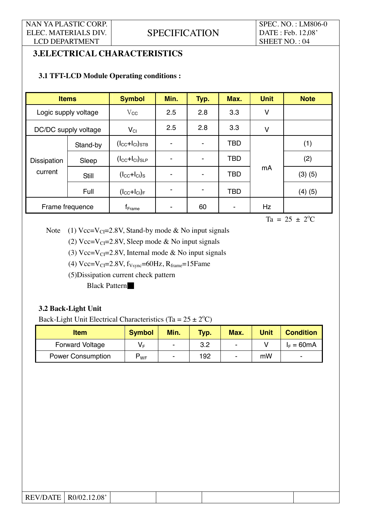SPEC. NO. : LM806-0 DATE : Feb. 12,08' SHEET NO. : 04

# **3.ELECTRICAL CHARACTERISTICS**

### **3.1 TFT-LCD Module Operating conditions :**

| <b>Items</b>                  |                      | <b>Symbol</b>                                | Min.           | Typ. | Max.       | <b>Unit</b> | <b>Note</b> |
|-------------------------------|----------------------|----------------------------------------------|----------------|------|------------|-------------|-------------|
|                               | Logic supply voltage | $V_{\rm CC}$                                 | 2.5            | 2.8  | 3.3        | V           |             |
|                               | DC/DC supply voltage | $V_{CI}$                                     | 2.5            | 2.8  | 3.3        | V           |             |
| <b>Dissipation</b><br>current | Stand-by             | $(l_{\text{CC}}+l_{\text{Cl}})$ stb          | -              | ٠    | <b>TBD</b> |             | (1)         |
|                               | Sleep                | $(l_{\text{CC}}+l_{\text{Cl}})_{\text{SLP}}$ | $\blacksquare$ |      | <b>TBD</b> |             | (2)         |
|                               | Still                | $(l_{\text{CC}}+l_{\text{Cl}})_{\text{S}}$   |                |      | <b>TBD</b> | mA          | $(3)$ $(5)$ |
|                               | Full                 | $(l_{\text{CC}}+l_{\text{Cl}})_{\text{F}}$   | -              | ٠    | <b>TBD</b> |             | (4)(5)      |
| Frame frequence               |                      | $f_{Frame}$                                  |                | 60   |            | Hz          |             |

 $Ta = 25 \pm 2^{\circ}C$ 

Note (1) Vcc=V<sub>CI</sub>=2.8V, Stand-by mode & No input signals

(2) Vcc=V<sub>CI</sub>=2.8V, Sleep mode & No input signals

(3) Vcc=V<sub>CI</sub>=2.8V, Internal mode & No input signals

(4)  $Vcc=V_{CI}=2.8V$ ,  $f_{Vsync}=60Hz$ ,  $R_{frame}=15F$ ame

(5)Dissipation current check pattern

Black Pattern

#### **3.2 Back-Light Unit**

Back-Light Unit Electrical Characteristics (Ta =  $25 \pm 2$ <sup>o</sup>C)

| <b>Item</b>              | <b>Symbol</b> | Min.                     | Typ. | Max.           | <b>Unit</b> | <b>Condition</b> |
|--------------------------|---------------|--------------------------|------|----------------|-------------|------------------|
| <b>Forward Voltage</b>   | V⊧            | $\overline{\phantom{0}}$ | 3.2  | $\blacksquare$ |             | $I_F = 60mA$     |
| <b>Power Consumption</b> | $P_{WF}$      | ۰                        | 192  | ۰              | mW          | ۰                |

| REV/DATE | .08'<br>RO/02<br>12 |  |  |
|----------|---------------------|--|--|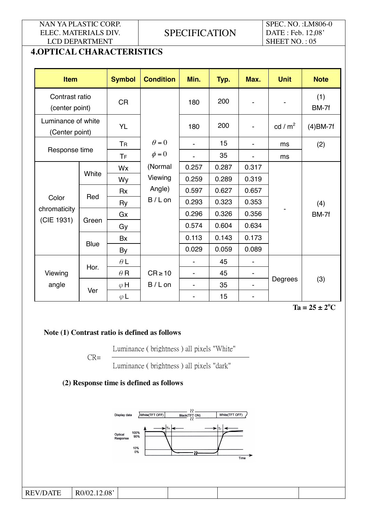# **SPECIFICATION**

SPEC. NO. :LM806-0 DATE : Feb. 12,08' SHEET NO.: 05

# **4.OPTICAL CHARACTERISTICS**

| <b>Item</b>                          |             | <b>Symbol</b> | <b>Condition</b> | Min.                     | Typ.  | Max.                     | <b>Unit</b> | <b>Note</b>  |
|--------------------------------------|-------------|---------------|------------------|--------------------------|-------|--------------------------|-------------|--------------|
| Contrast ratio<br>(center point)     |             | <b>CR</b>     |                  | 180                      | 200   |                          |             | (1)<br>BM-7f |
| Luminance of white<br>(Center point) |             | <b>YL</b>     |                  | 180                      | 200   | ä,                       | cd / $m2$   | $(4)$ BM-7f  |
|                                      |             | <b>TR</b>     | $\theta = 0$     |                          | 15    | $\blacksquare$           | ms          | (2)          |
| Response time                        |             | <b>TF</b>     | $\phi = 0$       | ۷                        | 35    | $\overline{\phantom{0}}$ | ms          |              |
|                                      |             | Wx            | (Normal          | 0.257                    | 0.287 | 0.317                    |             |              |
|                                      | White       | Wy            | Viewing          | 0.259                    | 0.289 | 0.319                    |             |              |
|                                      | Red         | Rx            | Angle)           | 0.597                    | 0.627 | 0.657                    |             |              |
| Color                                |             | Ry            | $B/L$ on         | 0.293                    | 0.323 | 0.353                    |             | (4)          |
| chromaticity                         |             | Gx            |                  | 0.296                    | 0.326 | 0.356                    |             | BM-7f        |
| (CIE 1931)                           | Green       | Gy            |                  | 0.574                    | 0.604 | 0.634                    |             |              |
|                                      |             | Bx            |                  | 0.113                    | 0.143 | 0.173                    |             |              |
|                                      | <b>Blue</b> | By            |                  | 0.029                    | 0.059 | 0.089                    |             |              |
|                                      |             | $\theta L$    |                  | $\blacksquare$           | 45    | $\blacksquare$           |             |              |
| Viewing                              | Hor.        | $\theta$ R    | $CR \ge 10$      | $\overline{\phantom{0}}$ | 45    | $\blacksquare$           |             |              |
| angle                                | Ver         | $\varphi$ H   | $B/L$ on         |                          | 35    |                          | Degrees     | (3)          |
|                                      |             | $\varphi$ L   |                  |                          | 15    |                          |             |              |

 $Ta = 25 \pm 2^{\circ}$  $Ta = 25 \pm 2^{\circ}C$ 

#### **Note (1) Contrast ratio is defined as follows**

Luminance ( brightness ) all pixels "White"

CR=

Luminance ( brightness ) all pixels "dark"

## **(2) Response time is defined as follows**

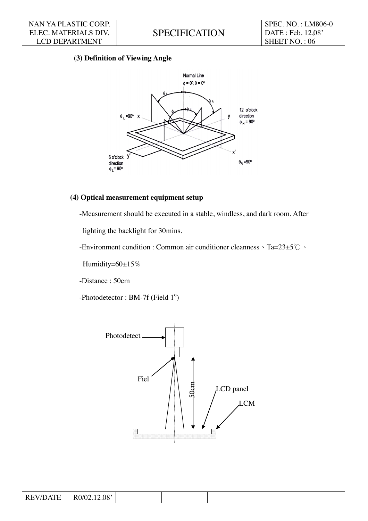SPEC. NO. : LM806-0 DATE : Feb. 12,08' SHEET NO. : 06

### **(3) Definition of Viewing Angle**



#### **(4) Optical measurement equipment setup**

-Measurement should be executed in a stable, windless, and dark room. After

lighting the backlight for 30mins.

-Environment condition : Common air conditioner cleanness  $\cdot$  Ta=23±5°C  $\cdot$ 

Humidity=60±15%

-Distance : 50cm

-Photodetector: BM-7f (Field  $1^{\circ}$ )

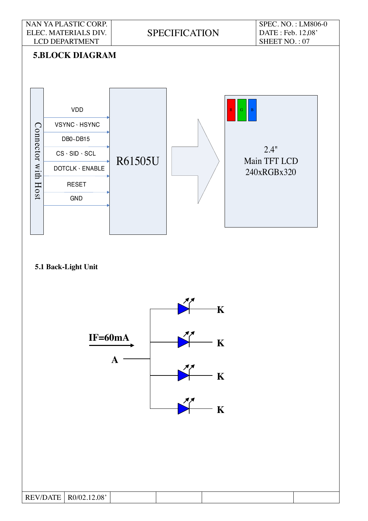



 $REV/DATE$  R0/02.12.08'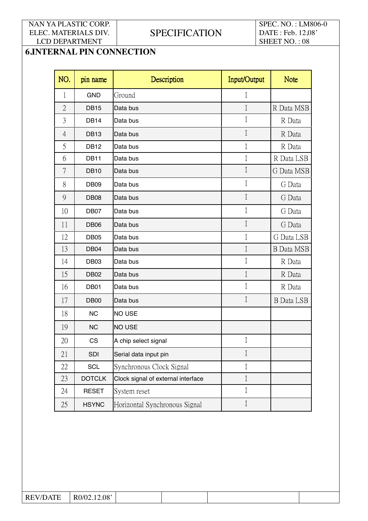**SPECIFICATION** 

SPEC. NO. : LM806-0 DATE : Feb. 12,08' SHEET NO.: 08

# **6.INTERNAL PIN CONNECTION**

| NO.            | pin name         | Description                        | Input/Output | <b>Note</b>       |
|----------------|------------------|------------------------------------|--------------|-------------------|
| 1              | <b>GND</b>       | Ground                             | I            |                   |
| $\overline{2}$ | <b>DB15</b>      | Data bus                           | $\mathbf I$  | R Data MSB        |
| 3              | <b>DB14</b>      | Data bus                           | $\rm I$      | R Data            |
| $\overline{4}$ | <b>DB13</b>      | Data bus                           | $\rm I$      | R Data            |
| 5              | <b>DB12</b>      | Data bus                           | I            | R Data            |
| 6              | DB11             | Data bus                           | I            | R Data LSB        |
| 7              | <b>DB10</b>      | Data bus                           | $\mathbf I$  | G Data MSB        |
| 8              | DB <sub>09</sub> | Data bus                           | I            | G Data            |
| 9              | <b>DB08</b>      | Data bus                           | $\mathbf I$  | G Data            |
| 10             | DB07             | Data bus                           | $\rm I$      | G Data            |
| 11             | <b>DB06</b>      | Data bus                           | $\rm I$      | G Data            |
| 12             | <b>DB05</b>      | Data bus                           | $\rm I$      | G Data LSB        |
| 13             | DB04             | Data bus                           | $\rm I$      | <b>B</b> Data MSB |
| 14             | DB03             | Data bus                           | $\rm I$      | R Data            |
| 15             | <b>DB02</b>      | Data bus                           | $\rm I$      | R Data            |
| 16             | DB01             | Data bus                           | $\mathbf I$  | R Data            |
| 17             | DB <sub>00</sub> | Data bus                           | $\rm I$      | <b>B</b> Data LSB |
| 18             | <b>NC</b>        | <b>NO USE</b>                      |              |                   |
| 19             | <b>NC</b>        | NO USE                             |              |                   |
| 20             | <b>CS</b>        | A chip select signal               | $\rm I$      |                   |
| 21             | SDI              | Serial data input pin              | $\rm I$      |                   |
| 22             | SCL              | Synchronous Clock Signal           | $\mathbf I$  |                   |
| 23             | <b>DOTCLK</b>    | Clock signal of external interface | $\rm I$      |                   |
| 24             | <b>RESET</b>     | System reset                       | I            |                   |
| 25             | <b>HSYNC</b>     | Horizontal Synchronous Signal      | $\rm I$      |                   |

| $\sqrt{11}$<br><b>RE</b><br>$\lambda$<br>ľН<br>$\mathcal{N}$<br>w<br>. | .12.08'<br>.0/02 |  |  |
|------------------------------------------------------------------------|------------------|--|--|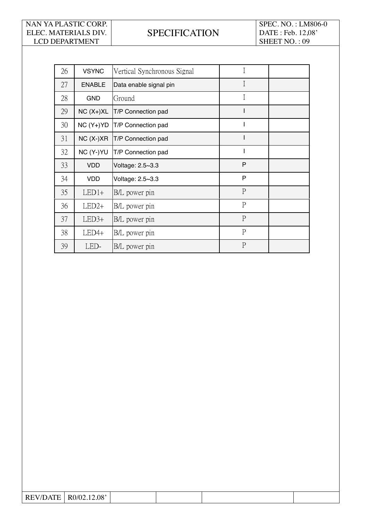# **SPECIFICATION**

SPEC. NO. : LM806-0 DATE : Feb. 12,08' SHEET NO. : 09

| 26 | <b>VSYNC</b>  | Vertical Synchronous Signal | $\mathbf I$    |  |
|----|---------------|-----------------------------|----------------|--|
| 27 | <b>ENABLE</b> | Data enable signal pin      | $\overline{I}$ |  |
| 28 | <b>GND</b>    | Ground                      | Ι              |  |
| 29 | $NC(X+)XL$    | T/P Connection pad          |                |  |
| 30 | $NC(Y+)YD$    | T/P Connection pad          | ı              |  |
| 31 | $NC(X-)XR$    | T/P Connection pad          |                |  |
| 32 | NC (Y-)YU     | T/P Connection pad          |                |  |
| 33 | <b>VDD</b>    | Voltage: 2.5~3.3            | P              |  |
| 34 | <b>VDD</b>    | Voltage: 2.5~3.3            | P              |  |
| 35 | $LED1+$       | B/L power pin               | $\mathbf{P}$   |  |
| 36 | $LED2+$       | B/L power pin               | $\mathbf{P}$   |  |
| 37 | $LED3+$       | B/L power pin               | $\mathbf{P}$   |  |
| 38 | $LED4+$       | B/L power pin               | $\mathbf{P}$   |  |
| 39 | LED-          | B/L power pin               | $\mathbf{P}$   |  |

| $\mathbf{R}$<br>$\mathbf{L}$<br>- | $.08^{\circ}$<br>ĸ |  |  |
|-----------------------------------|--------------------|--|--|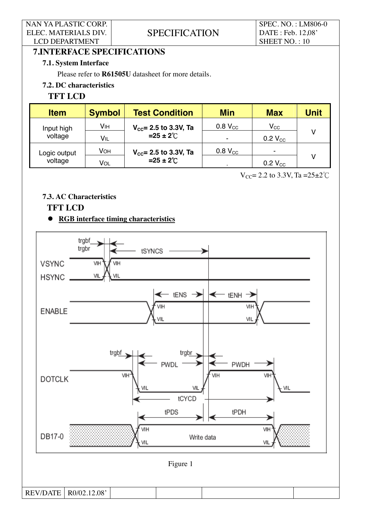**SPECIFICATION** 

SPEC. NO. : LM806-0 DATE : Feb. 12,08' SHEET NO.: 10

# **7.INTERFACE SPECIFICATIONS**

#### **7.1. System Interface**

Please refer to **R61505U** datasheet for more details.

## **7.2. DC characteristics**

## **TFT LCD**

| <b>Item</b>  | <b>Symbol</b> | <b>Test Condition</b>             | <b>Min</b>          | <b>Max</b>          | Unit |  |
|--------------|---------------|-----------------------------------|---------------------|---------------------|------|--|
| Input high   | VIH           | $V_{\text{cc}}$ = 2.5 to 3.3V, Ta | $0.8 V_{\text{CC}}$ | $V_{CC}$            |      |  |
| voltage      | VIL           | $=25 \pm 2^{\circ}$ C             |                     | $0.2 V_{\text{CC}}$ |      |  |
| Logic output | VOH           | $V_{\text{cc}}$ = 2.5 to 3.3V, Ta | $0.8 V_{\text{CC}}$ | ۰                   |      |  |
| voltage      | Vol           | $=25 \pm 2^{\circ}$ C             |                     | $0.2 V_{\text{CC}}$ |      |  |

 $V_{CC}$ = 2.2 to 3.3V, Ta = 25 $\pm$ 2°C

### **7.3. AC Characteristics**

## **TFT LCD**

#### **RGB interface timing characteristics**

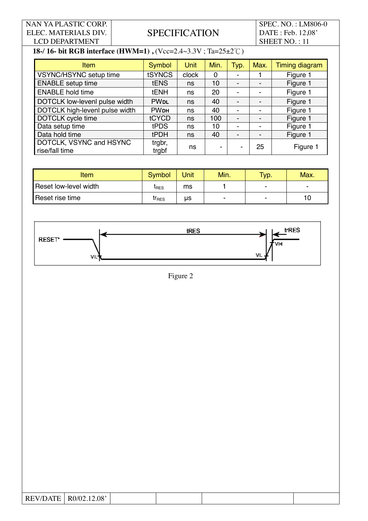# **SPECIFICATION**

SPEC. NO. : LM806-0 DATE : Feb. 12,08' SHEET NO.: 11

# **18-/ 16- bit RGB interface (HWM=1), (Vcc=2.4~3.3V; Ta=25±2°C)**

| <b>Item</b>                               | Symbol                 | <b>Unit</b> | Min. | Typ. | Max.                     | <b>Timing diagram</b> |
|-------------------------------------------|------------------------|-------------|------|------|--------------------------|-----------------------|
| VSYNC/HSYNC setup time                    | tSYNCS                 | clock       | 0    |      |                          | Figure 1              |
| <b>ENABLE</b> setup time                  | <b>tENS</b>            | ns          | 10   |      | $\overline{\phantom{0}}$ | Figure 1              |
| <b>ENABLE hold time</b>                   | <b>tENH</b>            | ns          | 20   |      |                          | Figure 1              |
| DOTCLK low-levenl pulse width             | <b>PW<sub>DL</sub></b> | ns          | 40   |      | $\overline{\phantom{0}}$ | Figure 1              |
| DOTCLK high-levenl pulse width            | <b>PW<sub>DH</sub></b> | ns          | 40   |      | -                        | Figure 1              |
| DOTCLK cycle time                         | tCYCD                  | ns          | 100  |      | -                        | Figure 1              |
| Data setup time                           | tPDS                   | ns          | 10   |      | ۰                        | Figure 1              |
| Data hold time                            | <b>tPDH</b>            | ns          | 40   |      | -                        | Figure 1              |
| DOTCLK, VSYNC and HSYNC<br>rise/fall time | trgbr,<br>trgbf        | ns          |      |      | 25                       | Figure 1              |

| Item                  | <b>Symbol</b> | Unit | Min.                     | Typ. | Max. |
|-----------------------|---------------|------|--------------------------|------|------|
| Reset low-level width | <b>L</b> RES  | ms   |                          |      | -    |
| Reset rise time       | $tr_{RES}$    | μs   | $\overline{\phantom{a}}$ |      | 10   |



Figure 2

| <b>REV/DATE</b> | R0/02.12.08' |  |  |
|-----------------|--------------|--|--|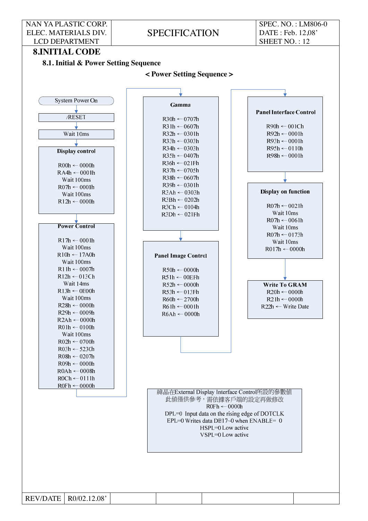SPECIFICATION

SPEC. NO. : LM806-0 DATE : Feb. 12,08' SHEET NO. : 12

#### **8.INITIAL CODE**

**8.1. Initial & Power Setting Sequence** 

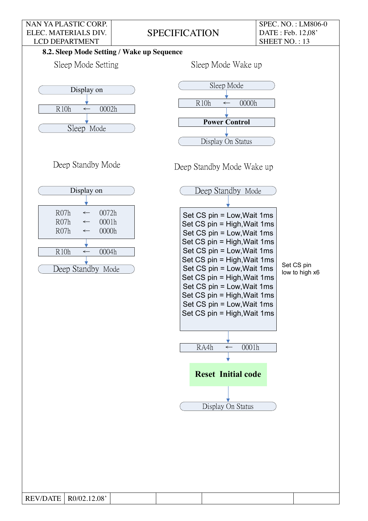**SPECIFICATION** 

SPEC. NO. : LM806-0 DATE : Feb. 12,08' SHEET NO.: 13

## **8.2. Sleep Mode Setting / Wake up Sequence**





Deep Standby Mode

REV/DATE  $R0/02.12.08'$ 



Deep Standby Mode Wake up

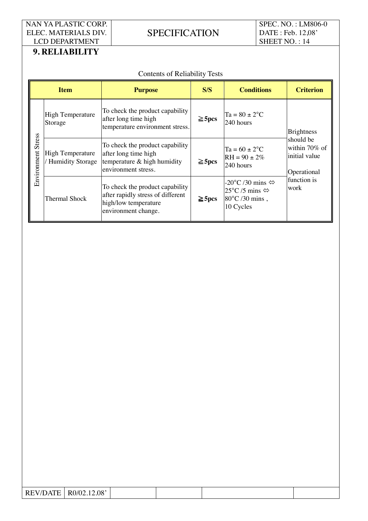**SPECIFICATION** 

SPEC. NO. : LM806-0 DATE : Feb. 12,08' SHEET NO.: 14

# **9. RELIABILITY**

|                           | <b>Contents of Reliability Tests</b>               |                                                                                                                     |             |                                                                                  |                                                            |  |  |  |
|---------------------------|----------------------------------------------------|---------------------------------------------------------------------------------------------------------------------|-------------|----------------------------------------------------------------------------------|------------------------------------------------------------|--|--|--|
|                           | <b>Item</b>                                        | <b>Purpose</b>                                                                                                      | S/S         | <b>Conditions</b>                                                                | <b>Criterion</b>                                           |  |  |  |
|                           | <b>High Temperature</b><br>Storage                 | To check the product capability<br>after long time high<br>temperature environment stress.                          | $\geq$ 5pcs | $Ta = 80 \pm 2^{\circ}C$<br>240 hours                                            | <b>Brightness</b>                                          |  |  |  |
| <b>Environment Stress</b> | <b>High Temperature</b><br><b>Humidity Storage</b> | To check the product capability<br>after long time high<br>temperature $\&$ high humidity<br>environment stress.    | $\geq$ 5pcs | $Ta = 60 \pm 2$ <sup>o</sup> C<br>$RH = 90 \pm 2\%$<br>240 hours                 | should be<br>within 70% of<br>initial value<br>Operational |  |  |  |
|                           | Thermal Shock                                      | To check the product capability<br>after rapidly stress of different<br>high/low temperature<br>environment change. | $\geq$ 5pcs | -20°C /30 mins ⇔<br>25°C/5 mins $\Leftrightarrow$<br>80°C /30 mins,<br>10 Cycles | function is<br>work                                        |  |  |  |

| <b>REV/DATE</b> | R0/02.12.08' |  |  |
|-----------------|--------------|--|--|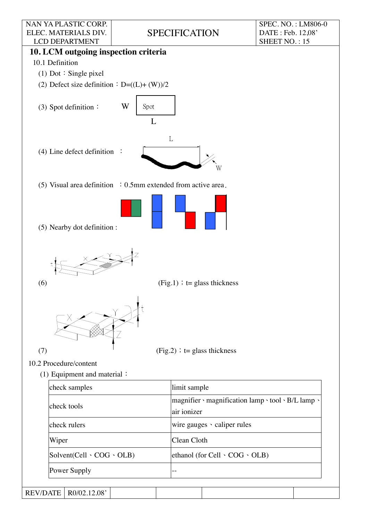SPECIFICATION

SPEC. NO. : LM806-0 DATE : Feb. 12,08' SHEET NO. : 15



REV/DATE | R0/02.12.08'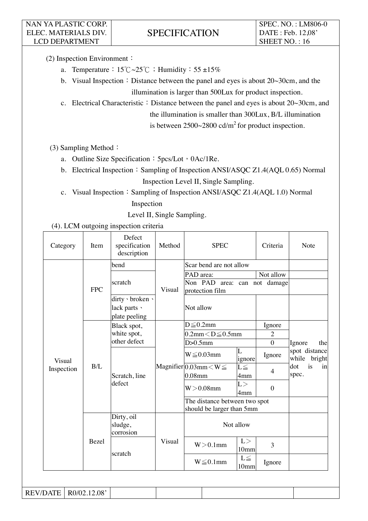(2) Inspection Environment:

- a. Temperature:  $15^{\circ}\text{C} \sim 25^{\circ}\text{C}$ : Humidity:  $55 \pm 15\%$
- b. Visual Inspection : Distance between the panel and eyes is about  $20~30cm$ , and the illumination is larger than 500Lux for product inspection.
- c. Electrical Characteristic: Distance between the panel and eyes is about  $20~30cm$ , and the illumination is smaller than 300Lux, B/L illumination is between  $2500~2800~\text{cd/m}^2$  for product inspection.

(3) Sampling Method :

- a. Outline Size Specification: 5pcs/Lot · 0Ac/1Re.
- b. Electrical Inspection Sampling of Inspection ANSI/ASQC Z1.4(AQL 0.65) Normal Inspection Level II, Single Sampling.
- c. Visual Inspection: Sampling of Inspection ANSI/ASQC Z1.4(AQL 1.0) Normal Inspection

Level II, Single Sampling.

#### (4). LCM outgoing inspection criteria

| bend<br>Scar bend are not allow<br>Not allow<br>PAD area:<br>Non PAD area: can not damage<br>scratch<br><b>FPC</b><br>Visual<br>protection film<br>dirty · broken ·<br>Not allow<br>lack parts \<br>plate peeling<br>$D \leq 0.2$ mm<br>Ignore<br>Black spot,<br>white spot,<br>$0.2$ mm $<$ D $\leq$ 0.5mm<br>$\overline{2}$<br>other defect<br>$D > 0.5$ mm<br>$\boldsymbol{0}$<br>Ignore<br>spot distance<br>L<br>$W \leq 0.03$ mm<br>Ignore<br>ignore<br>Visual<br>is<br>dot<br>B/L<br>Magnifier $\boxed{0.03}$ mm $\lt W \leq$<br>$L \leq$<br>Inspection<br>4<br>spec.<br>$0.08$ mm<br>Scratch, line<br>4mm<br>defect<br>L ><br>$W > 0.08$ mm<br>$\boldsymbol{0}$<br>4mm<br>The distance between two spot<br>should be larger than 5mm<br>Dirty, oil<br>Not allow<br>sludge,<br>corrosion<br>L ><br>Visual<br>Bezel<br>$W > 0.1$ mm<br>3<br>10 <sub>mm</sub><br>scratch<br>$L \leq$<br>$W \leq 0.1$ mm<br>Ignore<br>10 <sub>mm</sub> | Category | Item | Defect<br>specification<br>description | Method |  | <b>SPEC</b> |  | Criteria     | Note |  |
|-------------------------------------------------------------------------------------------------------------------------------------------------------------------------------------------------------------------------------------------------------------------------------------------------------------------------------------------------------------------------------------------------------------------------------------------------------------------------------------------------------------------------------------------------------------------------------------------------------------------------------------------------------------------------------------------------------------------------------------------------------------------------------------------------------------------------------------------------------------------------------------------------------------------------------------------|----------|------|----------------------------------------|--------|--|-------------|--|--------------|------|--|
|                                                                                                                                                                                                                                                                                                                                                                                                                                                                                                                                                                                                                                                                                                                                                                                                                                                                                                                                           |          |      |                                        |        |  |             |  |              |      |  |
|                                                                                                                                                                                                                                                                                                                                                                                                                                                                                                                                                                                                                                                                                                                                                                                                                                                                                                                                           |          |      |                                        |        |  |             |  |              |      |  |
|                                                                                                                                                                                                                                                                                                                                                                                                                                                                                                                                                                                                                                                                                                                                                                                                                                                                                                                                           |          |      |                                        |        |  |             |  |              |      |  |
|                                                                                                                                                                                                                                                                                                                                                                                                                                                                                                                                                                                                                                                                                                                                                                                                                                                                                                                                           |          |      |                                        |        |  |             |  |              |      |  |
|                                                                                                                                                                                                                                                                                                                                                                                                                                                                                                                                                                                                                                                                                                                                                                                                                                                                                                                                           |          |      |                                        |        |  |             |  |              |      |  |
|                                                                                                                                                                                                                                                                                                                                                                                                                                                                                                                                                                                                                                                                                                                                                                                                                                                                                                                                           |          |      |                                        |        |  |             |  |              |      |  |
|                                                                                                                                                                                                                                                                                                                                                                                                                                                                                                                                                                                                                                                                                                                                                                                                                                                                                                                                           |          |      |                                        |        |  |             |  | the          |      |  |
|                                                                                                                                                                                                                                                                                                                                                                                                                                                                                                                                                                                                                                                                                                                                                                                                                                                                                                                                           |          |      |                                        |        |  |             |  | while bright |      |  |
|                                                                                                                                                                                                                                                                                                                                                                                                                                                                                                                                                                                                                                                                                                                                                                                                                                                                                                                                           |          |      |                                        |        |  |             |  |              | in   |  |
|                                                                                                                                                                                                                                                                                                                                                                                                                                                                                                                                                                                                                                                                                                                                                                                                                                                                                                                                           |          |      |                                        |        |  |             |  |              |      |  |
|                                                                                                                                                                                                                                                                                                                                                                                                                                                                                                                                                                                                                                                                                                                                                                                                                                                                                                                                           |          |      |                                        |        |  |             |  |              |      |  |
|                                                                                                                                                                                                                                                                                                                                                                                                                                                                                                                                                                                                                                                                                                                                                                                                                                                                                                                                           |          |      |                                        |        |  |             |  |              |      |  |
|                                                                                                                                                                                                                                                                                                                                                                                                                                                                                                                                                                                                                                                                                                                                                                                                                                                                                                                                           |          |      |                                        |        |  |             |  |              |      |  |
|                                                                                                                                                                                                                                                                                                                                                                                                                                                                                                                                                                                                                                                                                                                                                                                                                                                                                                                                           |          |      |                                        |        |  |             |  |              |      |  |
|                                                                                                                                                                                                                                                                                                                                                                                                                                                                                                                                                                                                                                                                                                                                                                                                                                                                                                                                           |          |      |                                        |        |  |             |  |              |      |  |
| R0/02.12.08'<br><b>REV/DATE</b>                                                                                                                                                                                                                                                                                                                                                                                                                                                                                                                                                                                                                                                                                                                                                                                                                                                                                                           |          |      |                                        |        |  |             |  |              |      |  |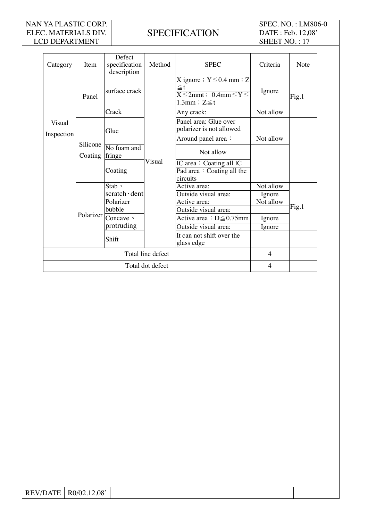# **SPECIFICATION**

SPEC. NO. : LM806-0 DATE : Feb. 12,08' SHEET NO.: 17

| Category   | Item                | Defect<br>specification<br>description | Method                               | <b>SPEC</b>                                                                                                  | Criteria  | <b>Note</b> |  |
|------------|---------------------|----------------------------------------|--------------------------------------|--------------------------------------------------------------------------------------------------------------|-----------|-------------|--|
|            | Panel               | surface crack                          |                                      | X ignore $: Y \leq 0.4$ mm $: Z$<br>$\leq$ t<br>$X \leq 2$ mmt; 0.4mm $\leq Y \leq$<br>$1.3$ mm $: Z \leq t$ | Ignore    | Fig.1       |  |
|            |                     | Crack                                  |                                      | Any crack:                                                                                                   | Not allow |             |  |
| Visual     |                     | Glue                                   |                                      | Panel area: Glue over<br>polarizer is not allowed                                                            |           |             |  |
| Inspection | Silicone<br>Coating |                                        |                                      | Around panel area:                                                                                           | Not allow |             |  |
|            |                     | No foam and<br>fringe                  | Visual                               | Not allow                                                                                                    |           |             |  |
|            |                     | Coating                                |                                      | IC area: Coating all IC<br>Pad area: Coating all the<br>circuits                                             |           |             |  |
|            | Polarizer           | $Stab \sim$                            |                                      | Active area:                                                                                                 | Not allow |             |  |
|            |                     | scratch dent<br>Polarizer<br>bubble    |                                      | Outside visual area:                                                                                         | Ignore    |             |  |
|            |                     |                                        | Active area:<br>Outside visual area: | Not allow                                                                                                    | Fig.1     |             |  |
|            |                     | Concave $\cdot$                        |                                      | Active area : $D \leq 0.75$ mm                                                                               | Ignore    |             |  |
|            |                     | protruding                             |                                      | Outside visual area:                                                                                         | Ignore    |             |  |
|            |                     | Shift                                  |                                      | It can not shift over the<br>glass edge                                                                      |           |             |  |
|            | $\overline{4}$      |                                        |                                      |                                                                                                              |           |             |  |
|            | Total dot defect    |                                        |                                      |                                                                                                              |           |             |  |

| REV/DATE | R0/02.12.08' |  |  |
|----------|--------------|--|--|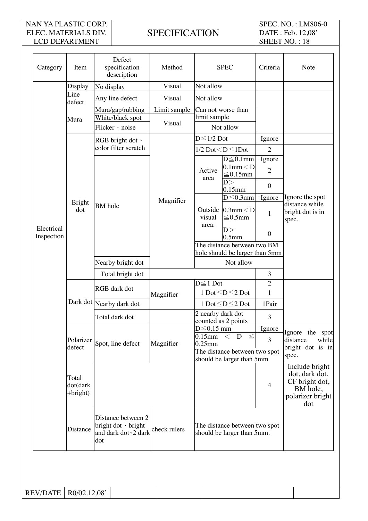# **SPECIFICATION**

SPEC. NO. : LM806-0 DATE : Feb. 12,08' SHEET NO.: 18

| Category                 | Item                                                                      | Defect<br>specification<br>description                                    | Method                 |                                                                                                                               | <b>SPEC</b>                                                 | Criteria                                                                                  | Note                                                              |
|--------------------------|---------------------------------------------------------------------------|---------------------------------------------------------------------------|------------------------|-------------------------------------------------------------------------------------------------------------------------------|-------------------------------------------------------------|-------------------------------------------------------------------------------------------|-------------------------------------------------------------------|
|                          | Display                                                                   | No display                                                                | Visual                 | Not allow                                                                                                                     |                                                             |                                                                                           |                                                                   |
|                          | Line<br>defect                                                            | Any line defect                                                           | Visual                 | Not allow                                                                                                                     |                                                             |                                                                                           |                                                                   |
|                          | Mura                                                                      | Mura/gap/rubbing<br>White/black spot<br>Flicker · noise                   | Limit sample<br>Visual | limit sample                                                                                                                  | Can not worse than<br>Not allow                             |                                                                                           |                                                                   |
|                          |                                                                           | RGB bright dot \                                                          |                        | $D \leq 1/2$ Dot                                                                                                              |                                                             | Ignore                                                                                    |                                                                   |
|                          |                                                                           | color filter scratch                                                      |                        |                                                                                                                               | $1/2$ Dot $\leq D \leq 1$ Dot                               | $\overline{2}$                                                                            |                                                                   |
|                          |                                                                           |                                                                           |                        | Active                                                                                                                        | $D \leq 0.1$ mm<br>$0.1$ mm $<$ D<br>${\leq}0.15\text{mm}$  | Ignore<br>$\overline{2}$                                                                  |                                                                   |
|                          |                                                                           |                                                                           |                        | area                                                                                                                          | D ><br>$0.15$ mm                                            | $\boldsymbol{0}$                                                                          |                                                                   |
|                          | <b>Bright</b>                                                             |                                                                           | Magnifier              |                                                                                                                               | $D \leq 0.3$ mm                                             | Ignore                                                                                    | Ignore the spot<br>distance while                                 |
|                          | dot                                                                       | <b>BM</b> hole                                                            |                        | Outside<br>visual<br>area:                                                                                                    | $0.3$ mm $<$ D<br>$≤ 0.5$ mm                                | $\mathbf{1}$                                                                              | bright dot is in<br>spec.                                         |
| Electrical<br>Inspection |                                                                           |                                                                           |                        |                                                                                                                               | D ><br>0.5 <sub>mm</sub>                                    | $\overline{0}$                                                                            |                                                                   |
|                          |                                                                           |                                                                           |                        | The distance between two BM<br>hole should be larger than 5mm<br>Not allow                                                    |                                                             |                                                                                           |                                                                   |
|                          |                                                                           | Nearby bright dot                                                         |                        |                                                                                                                               |                                                             |                                                                                           |                                                                   |
|                          |                                                                           | Total bright dot                                                          |                        |                                                                                                                               |                                                             | 3                                                                                         |                                                                   |
|                          |                                                                           | RGB dark dot                                                              | Magnifier              | $D \leq 1$ Dot<br>1 Dot $\leq D \leq 2$ Dot<br>1 Dot $\leq D \leq 2$ Dot<br>2 nearby dark dot                                 |                                                             | $\overline{2}$                                                                            |                                                                   |
|                          |                                                                           |                                                                           |                        |                                                                                                                               |                                                             | $\mathbf{1}$                                                                              |                                                                   |
|                          |                                                                           | Dark dot Nearby dark dot                                                  |                        |                                                                                                                               |                                                             | 1Pair                                                                                     |                                                                   |
|                          |                                                                           | Total dark dot                                                            |                        |                                                                                                                               | counted as 2 points                                         | 3                                                                                         |                                                                   |
|                          | Polarizer<br>Spot, line defect<br>defect<br>Total<br>dot(dark<br>+bright) |                                                                           | Magnifier              | $D \leq 0.15$ mm<br>D<br>$0.15$ mm $\lt$<br>$\leq$<br>$0.25$ mm<br>The distance between two spot<br>should be larger than 5mm |                                                             | Ignore                                                                                    | Ignore the spot<br>distance<br>while<br>bright dot is in<br>spec. |
|                          |                                                                           |                                                                           |                        |                                                                                                                               |                                                             | 3                                                                                         |                                                                   |
|                          |                                                                           |                                                                           |                        |                                                                                                                               |                                                             |                                                                                           |                                                                   |
|                          |                                                                           |                                                                           |                        |                                                                                                                               | $\overline{4}$                                              | Include bright<br>dot, dark dot,<br>CF bright dot,<br>BM hole,<br>polarizer bright<br>dot |                                                                   |
|                          | Distance                                                                  | Distance between 2<br>bright dot · bright<br>and dark dot > 2 dark<br>dot | check rulers           |                                                                                                                               | The distance between two spot<br>should be larger than 5mm. |                                                                                           |                                                                   |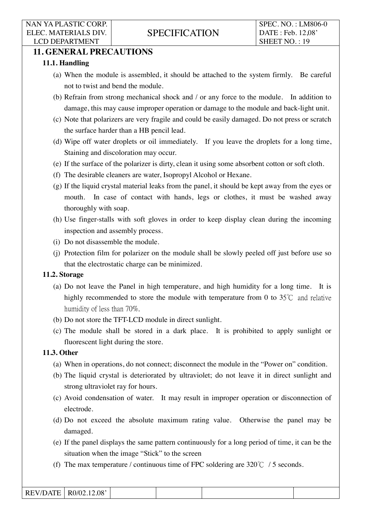# **11. GENERAL PRECAUTIONS**

### **11.1. Handling**

- (a) When the module is assembled, it should be attached to the system firmly. Be careful not to twist and bend the module.
- (b) Refrain from strong mechanical shock and / or any force to the module. In addition to damage, this may cause improper operation or damage to the module and back-light unit.
- (c) Note that polarizers are very fragile and could be easily damaged. Do not press or scratch the surface harder than a HB pencil lead.
- (d) Wipe off water droplets or oil immediately. If you leave the droplets for a long time, Staining and discoloration may occur.
- (e) If the surface of the polarizer is dirty, clean it using some absorbent cotton or soft cloth.
- (f) The desirable cleaners are water, Isopropyl Alcohol or Hexane.
- (g) If the liquid crystal material leaks from the panel, it should be kept away from the eyes or mouth. In case of contact with hands, legs or clothes, it must be washed away thoroughly with soap.
- (h) Use finger-stalls with soft gloves in order to keep display clean during the incoming inspection and assembly process.
- (i) Do not disassemble the module.
- (j) Protection film for polarizer on the module shall be slowly peeled off just before use so that the electrostatic charge can be minimized.

#### **11.2. Storage**

- (a) Do not leave the Panel in high temperature, and high humidity for a long time. It is highly recommended to store the module with temperature from 0 to  $35^{\circ}$ °C and relative humidity of less than 70%.
- (b) Do not store the TFT-LCD module in direct sunlight.
- (c) The module shall be stored in a dark place. It is prohibited to apply sunlight or fluorescent light during the store.

#### **11.3. Other**

- (a) When in operations, do not connect; disconnect the module in the "Power on" condition.
- (b) The liquid crystal is deteriorated by ultraviolet; do not leave it in direct sunlight and strong ultraviolet ray for hours.
- (c) Avoid condensation of water. It may result in improper operation or disconnection of electrode.
- (d) Do not exceed the absolute maximum rating value. Otherwise the panel may be damaged.
- (e) If the panel displays the same pattern continuously for a long period of time, it can be the situation when the image "Stick" to the screen
- (f) The max temperature / continuous time of FPC soldering are  $320^{\circ}$  C / 5 seconds.

| <b>REV/DATE</b> | RO/02.12.08' |  |  |
|-----------------|--------------|--|--|